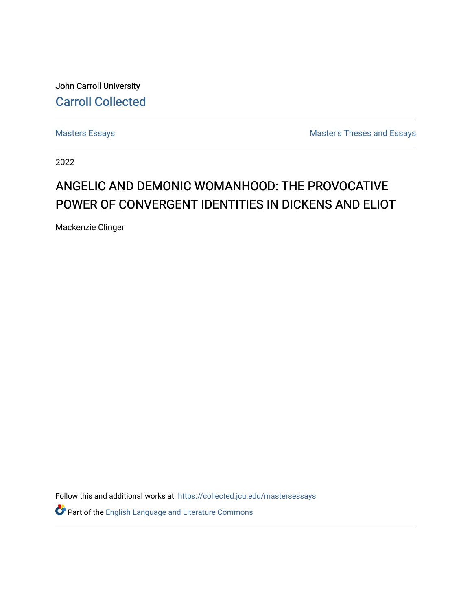John Carroll University [Carroll Collected](https://collected.jcu.edu/) 

[Masters Essays](https://collected.jcu.edu/mastersessays) [Master's Theses and Essays](https://collected.jcu.edu/thesesandessays) 

2022

# ANGELIC AND DEMONIC WOMANHOOD: THE PROVOCATIVE POWER OF CONVERGENT IDENTITIES IN DICKENS AND ELIOT

Mackenzie Clinger

Follow this and additional works at: [https://collected.jcu.edu/mastersessays](https://collected.jcu.edu/mastersessays?utm_source=collected.jcu.edu%2Fmastersessays%2F153&utm_medium=PDF&utm_campaign=PDFCoverPages)

Part of the [English Language and Literature Commons](https://network.bepress.com/hgg/discipline/455?utm_source=collected.jcu.edu%2Fmastersessays%2F153&utm_medium=PDF&utm_campaign=PDFCoverPages)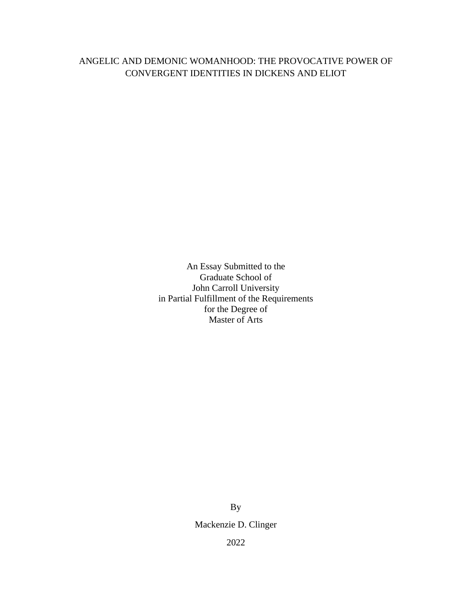# ANGELIC AND DEMONIC WOMANHOOD: THE PROVOCATIVE POWER OF CONVERGENT IDENTITIES IN DICKENS AND ELIOT

An Essay Submitted to the Graduate School of John Carroll University in Partial Fulfillment of the Requirements for the Degree of Master of Arts

> By Mackenzie D. Clinger 2022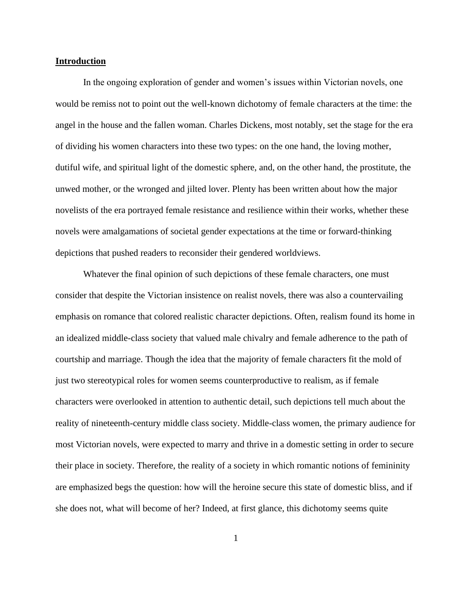#### **Introduction**

In the ongoing exploration of gender and women's issues within Victorian novels, one would be remiss not to point out the well-known dichotomy of female characters at the time: the angel in the house and the fallen woman. Charles Dickens, most notably, set the stage for the era of dividing his women characters into these two types: on the one hand, the loving mother, dutiful wife, and spiritual light of the domestic sphere, and, on the other hand, the prostitute, the unwed mother, or the wronged and jilted lover. Plenty has been written about how the major novelists of the era portrayed female resistance and resilience within their works, whether these novels were amalgamations of societal gender expectations at the time or forward-thinking depictions that pushed readers to reconsider their gendered worldviews.

Whatever the final opinion of such depictions of these female characters, one must consider that despite the Victorian insistence on realist novels, there was also a countervailing emphasis on romance that colored realistic character depictions. Often, realism found its home in an idealized middle-class society that valued male chivalry and female adherence to the path of courtship and marriage. Though the idea that the majority of female characters fit the mold of just two stereotypical roles for women seems counterproductive to realism, as if female characters were overlooked in attention to authentic detail, such depictions tell much about the reality of nineteenth-century middle class society. Middle-class women, the primary audience for most Victorian novels, were expected to marry and thrive in a domestic setting in order to secure their place in society. Therefore, the reality of a society in which romantic notions of femininity are emphasized begs the question: how will the heroine secure this state of domestic bliss, and if she does not, what will become of her? Indeed, at first glance, this dichotomy seems quite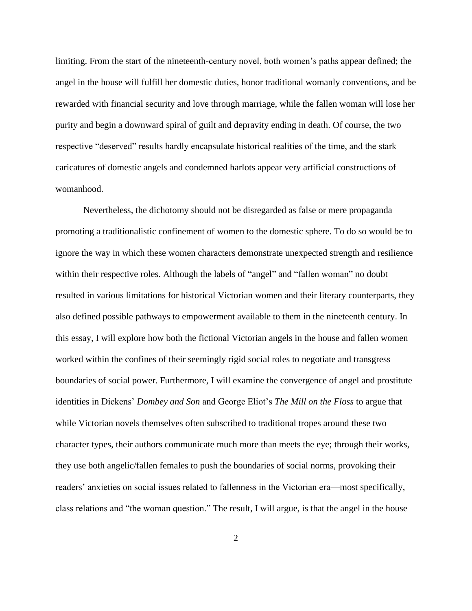limiting. From the start of the nineteenth-century novel, both women's paths appear defined; the angel in the house will fulfill her domestic duties, honor traditional womanly conventions, and be rewarded with financial security and love through marriage, while the fallen woman will lose her purity and begin a downward spiral of guilt and depravity ending in death. Of course, the two respective "deserved" results hardly encapsulate historical realities of the time, and the stark caricatures of domestic angels and condemned harlots appear very artificial constructions of womanhood.

Nevertheless, the dichotomy should not be disregarded as false or mere propaganda promoting a traditionalistic confinement of women to the domestic sphere. To do so would be to ignore the way in which these women characters demonstrate unexpected strength and resilience within their respective roles. Although the labels of "angel" and "fallen woman" no doubt resulted in various limitations for historical Victorian women and their literary counterparts, they also defined possible pathways to empowerment available to them in the nineteenth century. In this essay, I will explore how both the fictional Victorian angels in the house and fallen women worked within the confines of their seemingly rigid social roles to negotiate and transgress boundaries of social power. Furthermore, I will examine the convergence of angel and prostitute identities in Dickens' *Dombey and Son* and George Eliot's *The Mill on the Floss* to argue that while Victorian novels themselves often subscribed to traditional tropes around these two character types, their authors communicate much more than meets the eye; through their works, they use both angelic/fallen females to push the boundaries of social norms, provoking their readers' anxieties on social issues related to fallenness in the Victorian era—most specifically, class relations and "the woman question." The result, I will argue, is that the angel in the house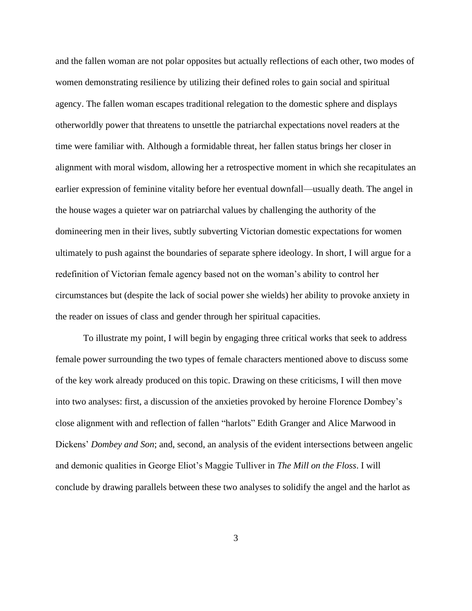and the fallen woman are not polar opposites but actually reflections of each other, two modes of women demonstrating resilience by utilizing their defined roles to gain social and spiritual agency. The fallen woman escapes traditional relegation to the domestic sphere and displays otherworldly power that threatens to unsettle the patriarchal expectations novel readers at the time were familiar with. Although a formidable threat, her fallen status brings her closer in alignment with moral wisdom, allowing her a retrospective moment in which she recapitulates an earlier expression of feminine vitality before her eventual downfall—usually death. The angel in the house wages a quieter war on patriarchal values by challenging the authority of the domineering men in their lives, subtly subverting Victorian domestic expectations for women ultimately to push against the boundaries of separate sphere ideology. In short, I will argue for a redefinition of Victorian female agency based not on the woman's ability to control her circumstances but (despite the lack of social power she wields) her ability to provoke anxiety in the reader on issues of class and gender through her spiritual capacities.

To illustrate my point, I will begin by engaging three critical works that seek to address female power surrounding the two types of female characters mentioned above to discuss some of the key work already produced on this topic. Drawing on these criticisms, I will then move into two analyses: first, a discussion of the anxieties provoked by heroine Florence Dombey's close alignment with and reflection of fallen "harlots" Edith Granger and Alice Marwood in Dickens' *Dombey and Son*; and, second, an analysis of the evident intersections between angelic and demonic qualities in George Eliot's Maggie Tulliver in *The Mill on the Floss*. I will conclude by drawing parallels between these two analyses to solidify the angel and the harlot as

3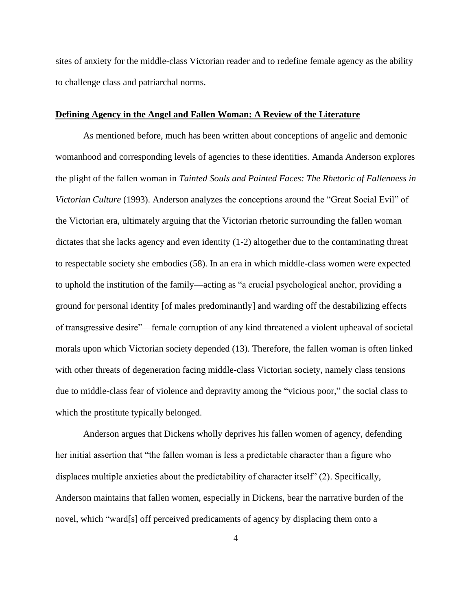sites of anxiety for the middle-class Victorian reader and to redefine female agency as the ability to challenge class and patriarchal norms.

# **Defining Agency in the Angel and Fallen Woman: A Review of the Literature**

As mentioned before, much has been written about conceptions of angelic and demonic womanhood and corresponding levels of agencies to these identities. Amanda Anderson explores the plight of the fallen woman in *Tainted Souls and Painted Faces: The Rhetoric of Fallenness in Victorian Culture* (1993). Anderson analyzes the conceptions around the "Great Social Evil" of the Victorian era, ultimately arguing that the Victorian rhetoric surrounding the fallen woman dictates that she lacks agency and even identity (1-2) altogether due to the contaminating threat to respectable society she embodies (58). In an era in which middle-class women were expected to uphold the institution of the family—acting as "a crucial psychological anchor, providing a ground for personal identity [of males predominantly] and warding off the destabilizing effects of transgressive desire"—female corruption of any kind threatened a violent upheaval of societal morals upon which Victorian society depended (13). Therefore, the fallen woman is often linked with other threats of degeneration facing middle-class Victorian society, namely class tensions due to middle-class fear of violence and depravity among the "vicious poor," the social class to which the prostitute typically belonged.

Anderson argues that Dickens wholly deprives his fallen women of agency, defending her initial assertion that "the fallen woman is less a predictable character than a figure who displaces multiple anxieties about the predictability of character itself" (2). Specifically, Anderson maintains that fallen women, especially in Dickens, bear the narrative burden of the novel, which "ward[s] off perceived predicaments of agency by displacing them onto a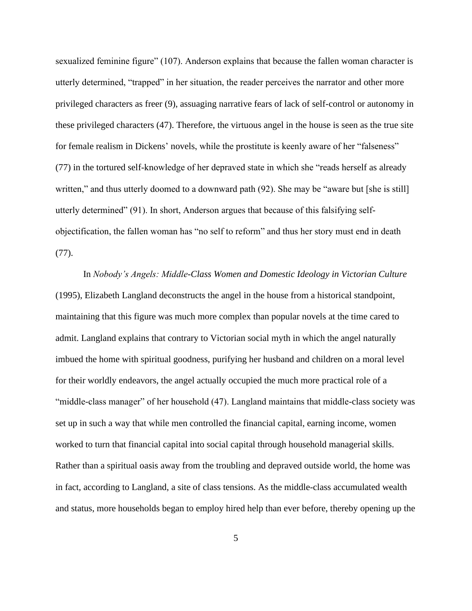sexualized feminine figure" (107). Anderson explains that because the fallen woman character is utterly determined, "trapped" in her situation, the reader perceives the narrator and other more privileged characters as freer (9), assuaging narrative fears of lack of self-control or autonomy in these privileged characters (47). Therefore, the virtuous angel in the house is seen as the true site for female realism in Dickens' novels, while the prostitute is keenly aware of her "falseness" (77) in the tortured self-knowledge of her depraved state in which she "reads herself as already written," and thus utterly doomed to a downward path (92). She may be "aware but [she is still] utterly determined" (91). In short, Anderson argues that because of this falsifying selfobjectification, the fallen woman has "no self to reform" and thus her story must end in death (77).

In *Nobody's Angels: Middle-Class Women and Domestic Ideology in Victorian Culture* (1995), Elizabeth Langland deconstructs the angel in the house from a historical standpoint, maintaining that this figure was much more complex than popular novels at the time cared to admit. Langland explains that contrary to Victorian social myth in which the angel naturally imbued the home with spiritual goodness, purifying her husband and children on a moral level for their worldly endeavors, the angel actually occupied the much more practical role of a "middle-class manager" of her household (47). Langland maintains that middle-class society was set up in such a way that while men controlled the financial capital, earning income, women worked to turn that financial capital into social capital through household managerial skills. Rather than a spiritual oasis away from the troubling and depraved outside world, the home was in fact, according to Langland, a site of class tensions. As the middle-class accumulated wealth and status, more households began to employ hired help than ever before, thereby opening up the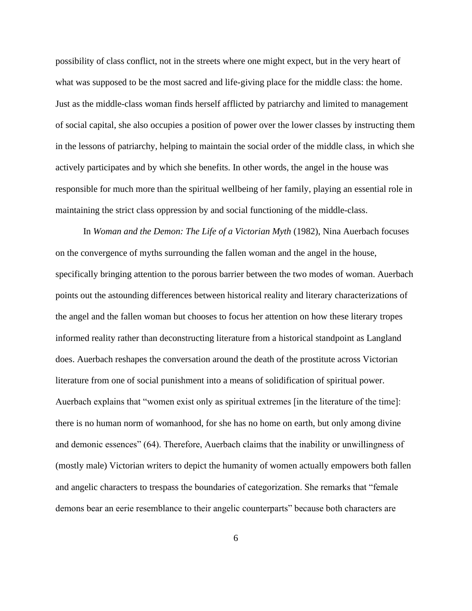possibility of class conflict, not in the streets where one might expect, but in the very heart of what was supposed to be the most sacred and life-giving place for the middle class: the home. Just as the middle-class woman finds herself afflicted by patriarchy and limited to management of social capital, she also occupies a position of power over the lower classes by instructing them in the lessons of patriarchy, helping to maintain the social order of the middle class, in which she actively participates and by which she benefits. In other words, the angel in the house was responsible for much more than the spiritual wellbeing of her family, playing an essential role in maintaining the strict class oppression by and social functioning of the middle-class.

In *Woman and the Demon: The Life of a Victorian Myth* (1982), Nina Auerbach focuses on the convergence of myths surrounding the fallen woman and the angel in the house, specifically bringing attention to the porous barrier between the two modes of woman. Auerbach points out the astounding differences between historical reality and literary characterizations of the angel and the fallen woman but chooses to focus her attention on how these literary tropes informed reality rather than deconstructing literature from a historical standpoint as Langland does. Auerbach reshapes the conversation around the death of the prostitute across Victorian literature from one of social punishment into a means of solidification of spiritual power. Auerbach explains that "women exist only as spiritual extremes [in the literature of the time]: there is no human norm of womanhood, for she has no home on earth, but only among divine and demonic essences" (64). Therefore, Auerbach claims that the inability or unwillingness of (mostly male) Victorian writers to depict the humanity of women actually empowers both fallen and angelic characters to trespass the boundaries of categorization. She remarks that "female demons bear an eerie resemblance to their angelic counterparts" because both characters are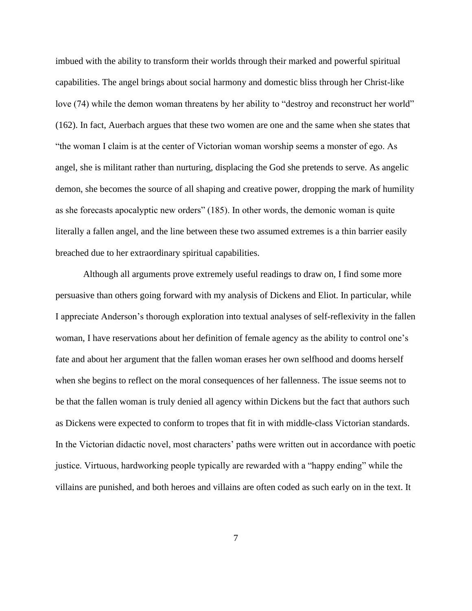imbued with the ability to transform their worlds through their marked and powerful spiritual capabilities. The angel brings about social harmony and domestic bliss through her Christ-like love (74) while the demon woman threatens by her ability to "destroy and reconstruct her world" (162). In fact, Auerbach argues that these two women are one and the same when she states that "the woman I claim is at the center of Victorian woman worship seems a monster of ego. As angel, she is militant rather than nurturing, displacing the God she pretends to serve. As angelic demon, she becomes the source of all shaping and creative power, dropping the mark of humility as she forecasts apocalyptic new orders" (185). In other words, the demonic woman is quite literally a fallen angel, and the line between these two assumed extremes is a thin barrier easily breached due to her extraordinary spiritual capabilities.

Although all arguments prove extremely useful readings to draw on, I find some more persuasive than others going forward with my analysis of Dickens and Eliot. In particular, while I appreciate Anderson's thorough exploration into textual analyses of self-reflexivity in the fallen woman, I have reservations about her definition of female agency as the ability to control one's fate and about her argument that the fallen woman erases her own selfhood and dooms herself when she begins to reflect on the moral consequences of her fallenness. The issue seems not to be that the fallen woman is truly denied all agency within Dickens but the fact that authors such as Dickens were expected to conform to tropes that fit in with middle-class Victorian standards. In the Victorian didactic novel, most characters' paths were written out in accordance with poetic justice. Virtuous, hardworking people typically are rewarded with a "happy ending" while the villains are punished, and both heroes and villains are often coded as such early on in the text. It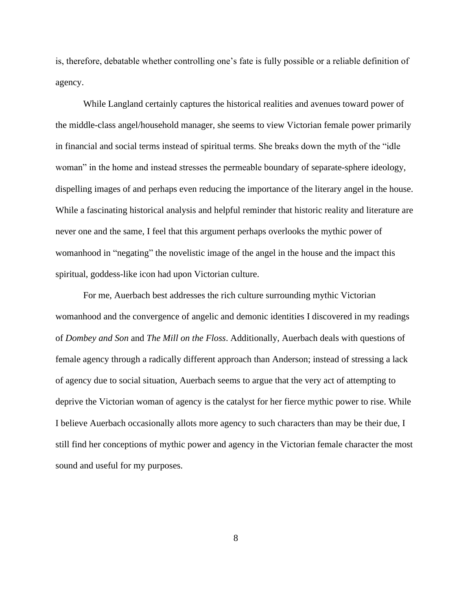is, therefore, debatable whether controlling one's fate is fully possible or a reliable definition of agency.

While Langland certainly captures the historical realities and avenues toward power of the middle-class angel/household manager, she seems to view Victorian female power primarily in financial and social terms instead of spiritual terms. She breaks down the myth of the "idle woman" in the home and instead stresses the permeable boundary of separate-sphere ideology, dispelling images of and perhaps even reducing the importance of the literary angel in the house. While a fascinating historical analysis and helpful reminder that historic reality and literature are never one and the same, I feel that this argument perhaps overlooks the mythic power of womanhood in "negating" the novelistic image of the angel in the house and the impact this spiritual, goddess-like icon had upon Victorian culture.

For me, Auerbach best addresses the rich culture surrounding mythic Victorian womanhood and the convergence of angelic and demonic identities I discovered in my readings of *Dombey and Son* and *The Mill on the Floss*. Additionally, Auerbach deals with questions of female agency through a radically different approach than Anderson; instead of stressing a lack of agency due to social situation, Auerbach seems to argue that the very act of attempting to deprive the Victorian woman of agency is the catalyst for her fierce mythic power to rise. While I believe Auerbach occasionally allots more agency to such characters than may be their due, I still find her conceptions of mythic power and agency in the Victorian female character the most sound and useful for my purposes.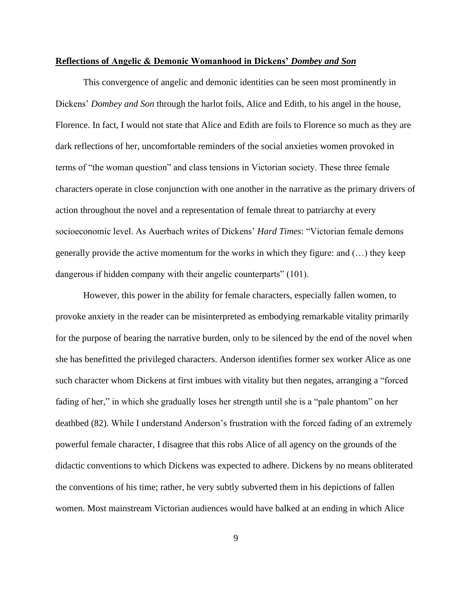#### **Reflections of Angelic & Demonic Womanhood in Dickens'** *Dombey and Son*

This convergence of angelic and demonic identities can be seen most prominently in Dickens' *Dombey and Son* through the harlot foils, Alice and Edith, to his angel in the house, Florence. In fact, I would not state that Alice and Edith are foils to Florence so much as they are dark reflections of her, uncomfortable reminders of the social anxieties women provoked in terms of "the woman question" and class tensions in Victorian society. These three female characters operate in close conjunction with one another in the narrative as the primary drivers of action throughout the novel and a representation of female threat to patriarchy at every socioeconomic level. As Auerbach writes of Dickens' *Hard Times*: "Victorian female demons generally provide the active momentum for the works in which they figure: and (…) they keep dangerous if hidden company with their angelic counterparts" (101).

However, this power in the ability for female characters, especially fallen women, to provoke anxiety in the reader can be misinterpreted as embodying remarkable vitality primarily for the purpose of bearing the narrative burden, only to be silenced by the end of the novel when she has benefitted the privileged characters. Anderson identifies former sex worker Alice as one such character whom Dickens at first imbues with vitality but then negates, arranging a "forced fading of her," in which she gradually loses her strength until she is a "pale phantom" on her deathbed (82). While I understand Anderson's frustration with the forced fading of an extremely powerful female character, I disagree that this robs Alice of all agency on the grounds of the didactic conventions to which Dickens was expected to adhere. Dickens by no means obliterated the conventions of his time; rather, he very subtly subverted them in his depictions of fallen women. Most mainstream Victorian audiences would have balked at an ending in which Alice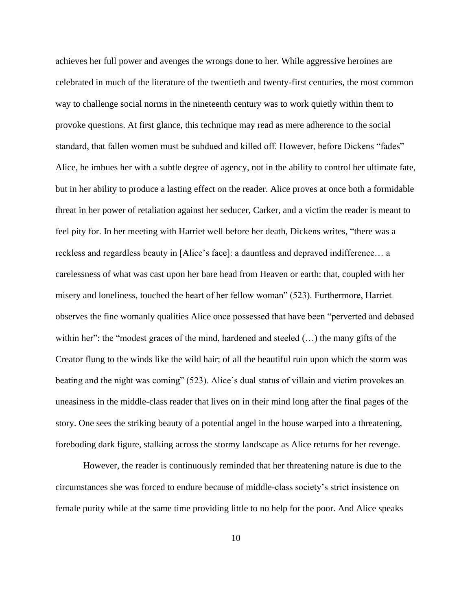achieves her full power and avenges the wrongs done to her. While aggressive heroines are celebrated in much of the literature of the twentieth and twenty-first centuries, the most common way to challenge social norms in the nineteenth century was to work quietly within them to provoke questions. At first glance, this technique may read as mere adherence to the social standard, that fallen women must be subdued and killed off. However, before Dickens "fades" Alice, he imbues her with a subtle degree of agency, not in the ability to control her ultimate fate, but in her ability to produce a lasting effect on the reader. Alice proves at once both a formidable threat in her power of retaliation against her seducer, Carker, and a victim the reader is meant to feel pity for. In her meeting with Harriet well before her death, Dickens writes, "there was a reckless and regardless beauty in [Alice's face]: a dauntless and depraved indifference… a carelessness of what was cast upon her bare head from Heaven or earth: that, coupled with her misery and loneliness, touched the heart of her fellow woman" (523). Furthermore, Harriet observes the fine womanly qualities Alice once possessed that have been "perverted and debased within her": the "modest graces of the mind, hardened and steeled  $(\ldots)$  the many gifts of the Creator flung to the winds like the wild hair; of all the beautiful ruin upon which the storm was beating and the night was coming" (523). Alice's dual status of villain and victim provokes an uneasiness in the middle-class reader that lives on in their mind long after the final pages of the story. One sees the striking beauty of a potential angel in the house warped into a threatening, foreboding dark figure, stalking across the stormy landscape as Alice returns for her revenge.

However, the reader is continuously reminded that her threatening nature is due to the circumstances she was forced to endure because of middle-class society's strict insistence on female purity while at the same time providing little to no help for the poor. And Alice speaks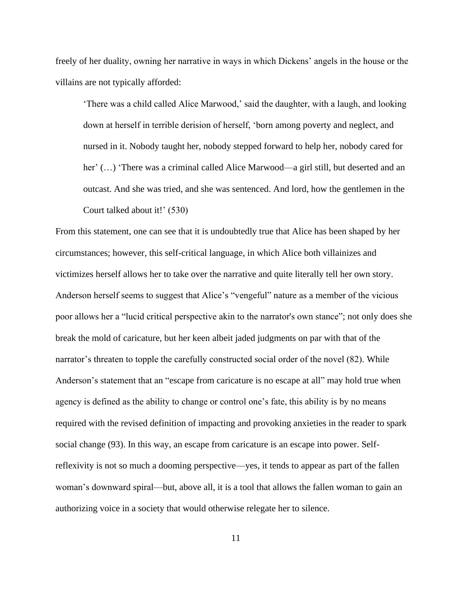freely of her duality, owning her narrative in ways in which Dickens' angels in the house or the villains are not typically afforded:

'There was a child called Alice Marwood,' said the daughter, with a laugh, and looking down at herself in terrible derision of herself, 'born among poverty and neglect, and nursed in it. Nobody taught her, nobody stepped forward to help her, nobody cared for her'  $(...)$  'There was a criminal called Alice Marwood—a girl still, but deserted and an outcast. And she was tried, and she was sentenced. And lord, how the gentlemen in the Court talked about it!' (530)

From this statement, one can see that it is undoubtedly true that Alice has been shaped by her circumstances; however, this self-critical language, in which Alice both villainizes and victimizes herself allows her to take over the narrative and quite literally tell her own story. Anderson herself seems to suggest that Alice's "vengeful" nature as a member of the vicious poor allows her a "lucid critical perspective akin to the narrator's own stance"; not only does she break the mold of caricature, but her keen albeit jaded judgments on par with that of the narrator's threaten to topple the carefully constructed social order of the novel (82). While Anderson's statement that an "escape from caricature is no escape at all" may hold true when agency is defined as the ability to change or control one's fate, this ability is by no means required with the revised definition of impacting and provoking anxieties in the reader to spark social change (93). In this way, an escape from caricature is an escape into power. Selfreflexivity is not so much a dooming perspective—yes, it tends to appear as part of the fallen woman's downward spiral—but, above all, it is a tool that allows the fallen woman to gain an authorizing voice in a society that would otherwise relegate her to silence.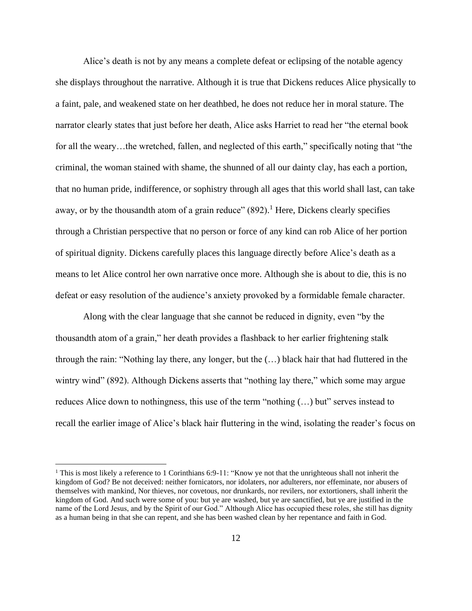Alice's death is not by any means a complete defeat or eclipsing of the notable agency she displays throughout the narrative. Although it is true that Dickens reduces Alice physically to a faint, pale, and weakened state on her deathbed, he does not reduce her in moral stature. The narrator clearly states that just before her death, Alice asks Harriet to read her "the eternal book for all the weary...the wretched, fallen, and neglected of this earth," specifically noting that "the criminal, the woman stained with shame, the shunned of all our dainty clay, has each a portion, that no human pride, indifference, or sophistry through all ages that this world shall last, can take away, or by the thousandth atom of a grain reduce" (892).<sup>1</sup> Here, Dickens clearly specifies through a Christian perspective that no person or force of any kind can rob Alice of her portion of spiritual dignity. Dickens carefully places this language directly before Alice's death as a means to let Alice control her own narrative once more. Although she is about to die, this is no defeat or easy resolution of the audience's anxiety provoked by a formidable female character.

Along with the clear language that she cannot be reduced in dignity, even "by the thousandth atom of a grain," her death provides a flashback to her earlier frightening stalk through the rain: "Nothing lay there, any longer, but the (…) black hair that had fluttered in the wintry wind" (892). Although Dickens asserts that "nothing lay there," which some may argue reduces Alice down to nothingness, this use of the term "nothing (…) but" serves instead to recall the earlier image of Alice's black hair fluttering in the wind, isolating the reader's focus on

<sup>&</sup>lt;sup>1</sup> This is most likely a reference to 1 Corinthians 6:9-11: "Know ye not that the unrighteous shall not inherit the kingdom of God? Be not deceived: neither fornicators, nor idolaters, nor adulterers, nor effeminate, nor abusers of themselves with mankind, Nor thieves, nor covetous, nor drunkards, nor revilers, nor extortioners, shall inherit the kingdom of God. And such were some of you: but ye are washed, but ye are sanctified, but ye are justified in the name of the Lord Jesus, and by the Spirit of our God." Although Alice has occupied these roles, she still has dignity as a human being in that she can repent, and she has been washed clean by her repentance and faith in God.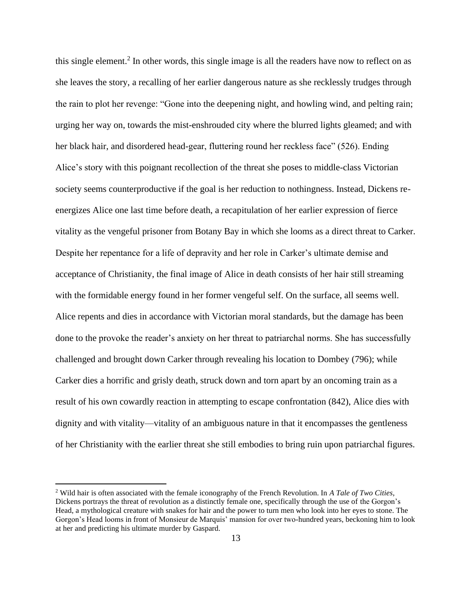this single element.<sup>2</sup> In other words, this single image is all the readers have now to reflect on as she leaves the story, a recalling of her earlier dangerous nature as she recklessly trudges through the rain to plot her revenge: "Gone into the deepening night, and howling wind, and pelting rain; urging her way on, towards the mist-enshrouded city where the blurred lights gleamed; and with her black hair, and disordered head-gear, fluttering round her reckless face" (526). Ending Alice's story with this poignant recollection of the threat she poses to middle-class Victorian society seems counterproductive if the goal is her reduction to nothingness. Instead, Dickens reenergizes Alice one last time before death, a recapitulation of her earlier expression of fierce vitality as the vengeful prisoner from Botany Bay in which she looms as a direct threat to Carker. Despite her repentance for a life of depravity and her role in Carker's ultimate demise and acceptance of Christianity, the final image of Alice in death consists of her hair still streaming with the formidable energy found in her former vengeful self. On the surface, all seems well. Alice repents and dies in accordance with Victorian moral standards, but the damage has been done to the provoke the reader's anxiety on her threat to patriarchal norms. She has successfully challenged and brought down Carker through revealing his location to Dombey (796); while Carker dies a horrific and grisly death, struck down and torn apart by an oncoming train as a result of his own cowardly reaction in attempting to escape confrontation (842), Alice dies with dignity and with vitality—vitality of an ambiguous nature in that it encompasses the gentleness of her Christianity with the earlier threat she still embodies to bring ruin upon patriarchal figures.

<sup>2</sup> Wild hair is often associated with the female iconography of the French Revolution. In *A Tale of Two Cities*, Dickens portrays the threat of revolution as a distinctly female one, specifically through the use of the Gorgon's Head, a mythological creature with snakes for hair and the power to turn men who look into her eyes to stone. The Gorgon's Head looms in front of Monsieur de Marquis' mansion for over two-hundred years, beckoning him to look at her and predicting his ultimate murder by Gaspard.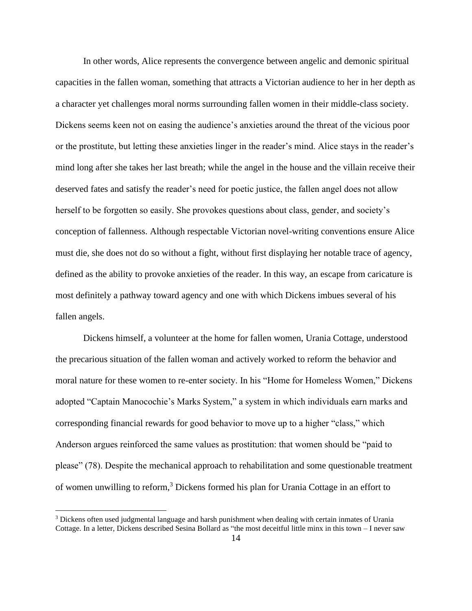In other words, Alice represents the convergence between angelic and demonic spiritual capacities in the fallen woman, something that attracts a Victorian audience to her in her depth as a character yet challenges moral norms surrounding fallen women in their middle-class society. Dickens seems keen not on easing the audience's anxieties around the threat of the vicious poor or the prostitute, but letting these anxieties linger in the reader's mind. Alice stays in the reader's mind long after she takes her last breath; while the angel in the house and the villain receive their deserved fates and satisfy the reader's need for poetic justice, the fallen angel does not allow herself to be forgotten so easily. She provokes questions about class, gender, and society's conception of fallenness. Although respectable Victorian novel-writing conventions ensure Alice must die, she does not do so without a fight, without first displaying her notable trace of agency, defined as the ability to provoke anxieties of the reader. In this way, an escape from caricature is most definitely a pathway toward agency and one with which Dickens imbues several of his fallen angels.

Dickens himself, a volunteer at the home for fallen women, Urania Cottage, understood the precarious situation of the fallen woman and actively worked to reform the behavior and moral nature for these women to re-enter society. In his "Home for Homeless Women," Dickens adopted "Captain Manocochie's Marks System," a system in which individuals earn marks and corresponding financial rewards for good behavior to move up to a higher "class," which Anderson argues reinforced the same values as prostitution: that women should be "paid to please" (78). Despite the mechanical approach to rehabilitation and some questionable treatment of women unwilling to reform, <sup>3</sup> Dickens formed his plan for Urania Cottage in an effort to

<sup>&</sup>lt;sup>3</sup> Dickens often used judgmental language and harsh punishment when dealing with certain inmates of Urania Cottage. In a letter, Dickens described Sesina Bollard as "the most deceitful little minx in this town – I never saw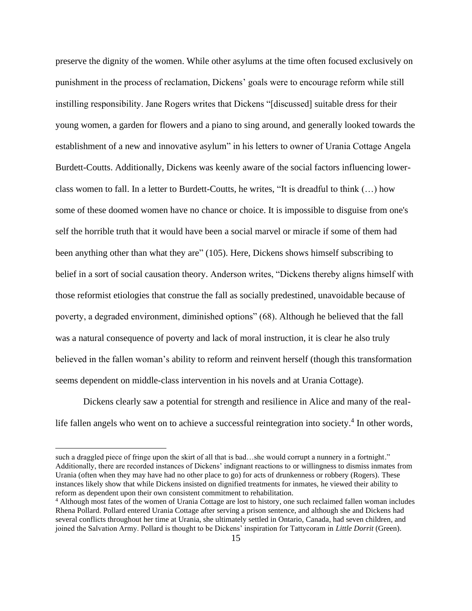preserve the dignity of the women. While other asylums at the time often focused exclusively on punishment in the process of reclamation, Dickens' goals were to encourage reform while still instilling responsibility. Jane Rogers writes that Dickens "[discussed] suitable dress for their young women, a garden for flowers and a piano to sing around, and generally looked towards the establishment of a new and innovative asylum" in his letters to owner of Urania Cottage Angela Burdett-Coutts. Additionally, Dickens was keenly aware of the social factors influencing lowerclass women to fall. In a letter to Burdett-Coutts, he writes, "It is dreadful to think (…) how some of these doomed women have no chance or choice. It is impossible to disguise from one's self the horrible truth that it would have been a social marvel or miracle if some of them had been anything other than what they are" (105). Here, Dickens shows himself subscribing to belief in a sort of social causation theory. Anderson writes, "Dickens thereby aligns himself with those reformist etiologies that construe the fall as socially predestined, unavoidable because of poverty, a degraded environment, diminished options" (68). Although he believed that the fall was a natural consequence of poverty and lack of moral instruction, it is clear he also truly believed in the fallen woman's ability to reform and reinvent herself (though this transformation seems dependent on middle-class intervention in his novels and at Urania Cottage).

Dickens clearly saw a potential for strength and resilience in Alice and many of the reallife fallen angels who went on to achieve a successful reintegration into society.<sup>4</sup> In other words,

such a draggled piece of fringe upon the skirt of all that is bad...she would corrupt a nunnery in a fortnight." Additionally, there are recorded instances of Dickens' indignant reactions to or willingness to dismiss inmates from Urania (often when they may have had no other place to go) for acts of drunkenness or robbery (Rogers). These instances likely show that while Dickens insisted on dignified treatments for inmates, he viewed their ability to reform as dependent upon their own consistent commitment to rehabilitation.

<sup>4</sup> Although most fates of the women of Urania Cottage are lost to history, one such reclaimed fallen woman includes Rhena Pollard. Pollard entered Urania Cottage after serving a prison sentence, and although she and Dickens had several conflicts throughout her time at Urania, she ultimately settled in Ontario, Canada, had seven children, and joined the Salvation Army. Pollard is thought to be Dickens' inspiration for Tattycoram in *Little Dorrit* (Green).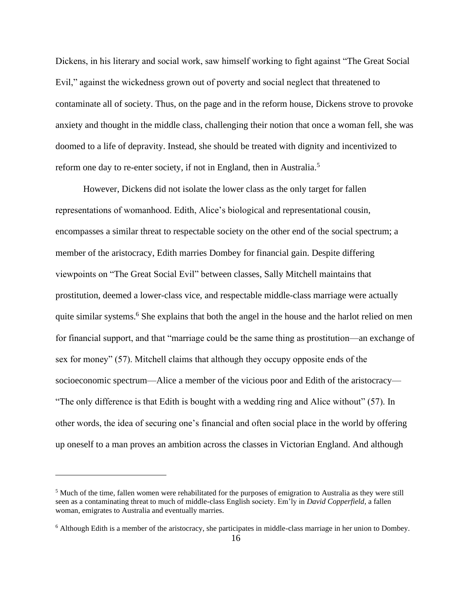Dickens, in his literary and social work, saw himself working to fight against "The Great Social Evil," against the wickedness grown out of poverty and social neglect that threatened to contaminate all of society. Thus, on the page and in the reform house, Dickens strove to provoke anxiety and thought in the middle class, challenging their notion that once a woman fell, she was doomed to a life of depravity. Instead, she should be treated with dignity and incentivized to reform one day to re-enter society, if not in England, then in Australia.<sup>5</sup>

However, Dickens did not isolate the lower class as the only target for fallen representations of womanhood. Edith, Alice's biological and representational cousin, encompasses a similar threat to respectable society on the other end of the social spectrum; a member of the aristocracy, Edith marries Dombey for financial gain. Despite differing viewpoints on "The Great Social Evil" between classes, Sally Mitchell maintains that prostitution, deemed a lower-class vice, and respectable middle-class marriage were actually quite similar systems.<sup>6</sup> She explains that both the angel in the house and the harlot relied on men for financial support, and that "marriage could be the same thing as prostitution—an exchange of sex for money" (57). Mitchell claims that although they occupy opposite ends of the socioeconomic spectrum—Alice a member of the vicious poor and Edith of the aristocracy— "The only difference is that Edith is bought with a wedding ring and Alice without" (57). In other words, the idea of securing one's financial and often social place in the world by offering up oneself to a man proves an ambition across the classes in Victorian England. And although

<sup>5</sup> Much of the time, fallen women were rehabilitated for the purposes of emigration to Australia as they were still seen as a contaminating threat to much of middle-class English society. Em'ly in *David Copperfield*, a fallen woman, emigrates to Australia and eventually marries.

<sup>6</sup> Although Edith is a member of the aristocracy, she participates in middle-class marriage in her union to Dombey.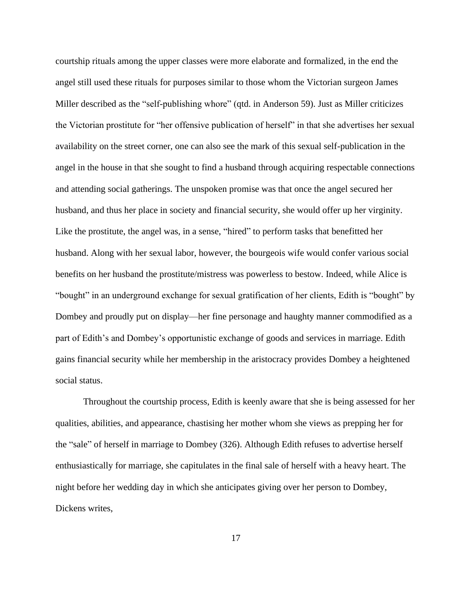courtship rituals among the upper classes were more elaborate and formalized, in the end the angel still used these rituals for purposes similar to those whom the Victorian surgeon James Miller described as the "self-publishing whore" (qtd. in Anderson 59). Just as Miller criticizes the Victorian prostitute for "her offensive publication of herself" in that she advertises her sexual availability on the street corner, one can also see the mark of this sexual self-publication in the angel in the house in that she sought to find a husband through acquiring respectable connections and attending social gatherings. The unspoken promise was that once the angel secured her husband, and thus her place in society and financial security, she would offer up her virginity. Like the prostitute, the angel was, in a sense, "hired" to perform tasks that benefitted her husband. Along with her sexual labor, however, the bourgeois wife would confer various social benefits on her husband the prostitute/mistress was powerless to bestow. Indeed, while Alice is "bought" in an underground exchange for sexual gratification of her clients, Edith is "bought" by Dombey and proudly put on display—her fine personage and haughty manner commodified as a part of Edith's and Dombey's opportunistic exchange of goods and services in marriage. Edith gains financial security while her membership in the aristocracy provides Dombey a heightened social status.

Throughout the courtship process, Edith is keenly aware that she is being assessed for her qualities, abilities, and appearance, chastising her mother whom she views as prepping her for the "sale" of herself in marriage to Dombey (326). Although Edith refuses to advertise herself enthusiastically for marriage, she capitulates in the final sale of herself with a heavy heart. The night before her wedding day in which she anticipates giving over her person to Dombey, Dickens writes,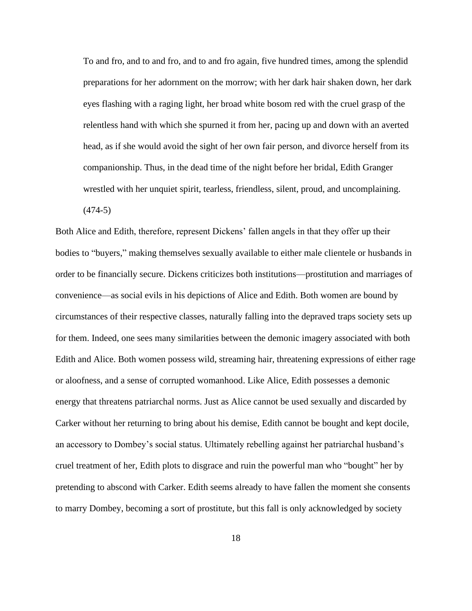To and fro, and to and fro, and to and fro again, five hundred times, among the splendid preparations for her adornment on the morrow; with her dark hair shaken down, her dark eyes flashing with a raging light, her broad white bosom red with the cruel grasp of the relentless hand with which she spurned it from her, pacing up and down with an averted head, as if she would avoid the sight of her own fair person, and divorce herself from its companionship. Thus, in the dead time of the night before her bridal, Edith Granger wrestled with her unquiet spirit, tearless, friendless, silent, proud, and uncomplaining.

(474-5)

Both Alice and Edith, therefore, represent Dickens' fallen angels in that they offer up their bodies to "buyers," making themselves sexually available to either male clientele or husbands in order to be financially secure. Dickens criticizes both institutions—prostitution and marriages of convenience—as social evils in his depictions of Alice and Edith. Both women are bound by circumstances of their respective classes, naturally falling into the depraved traps society sets up for them. Indeed, one sees many similarities between the demonic imagery associated with both Edith and Alice. Both women possess wild, streaming hair, threatening expressions of either rage or aloofness, and a sense of corrupted womanhood. Like Alice, Edith possesses a demonic energy that threatens patriarchal norms. Just as Alice cannot be used sexually and discarded by Carker without her returning to bring about his demise, Edith cannot be bought and kept docile, an accessory to Dombey's social status. Ultimately rebelling against her patriarchal husband's cruel treatment of her, Edith plots to disgrace and ruin the powerful man who "bought" her by pretending to abscond with Carker. Edith seems already to have fallen the moment she consents to marry Dombey, becoming a sort of prostitute, but this fall is only acknowledged by society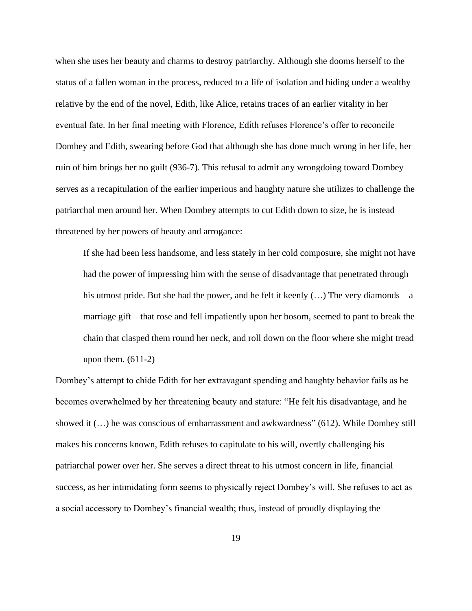when she uses her beauty and charms to destroy patriarchy. Although she dooms herself to the status of a fallen woman in the process, reduced to a life of isolation and hiding under a wealthy relative by the end of the novel, Edith, like Alice, retains traces of an earlier vitality in her eventual fate. In her final meeting with Florence, Edith refuses Florence's offer to reconcile Dombey and Edith, swearing before God that although she has done much wrong in her life, her ruin of him brings her no guilt (936-7). This refusal to admit any wrongdoing toward Dombey serves as a recapitulation of the earlier imperious and haughty nature she utilizes to challenge the patriarchal men around her. When Dombey attempts to cut Edith down to size, he is instead threatened by her powers of beauty and arrogance:

If she had been less handsome, and less stately in her cold composure, she might not have had the power of impressing him with the sense of disadvantage that penetrated through his utmost pride. But she had the power, and he felt it keenly  $(...)$  The very diamonds—a marriage gift—that rose and fell impatiently upon her bosom, seemed to pant to break the chain that clasped them round her neck, and roll down on the floor where she might tread upon them.  $(611-2)$ 

Dombey's attempt to chide Edith for her extravagant spending and haughty behavior fails as he becomes overwhelmed by her threatening beauty and stature: "He felt his disadvantage, and he showed it (…) he was conscious of embarrassment and awkwardness" (612). While Dombey still makes his concerns known, Edith refuses to capitulate to his will, overtly challenging his patriarchal power over her. She serves a direct threat to his utmost concern in life, financial success, as her intimidating form seems to physically reject Dombey's will. She refuses to act as a social accessory to Dombey's financial wealth; thus, instead of proudly displaying the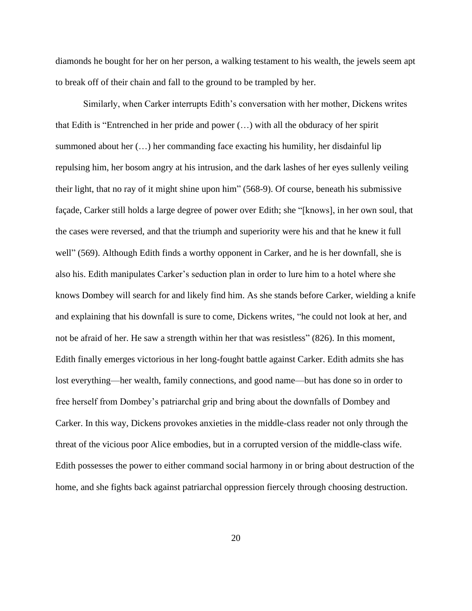diamonds he bought for her on her person, a walking testament to his wealth, the jewels seem apt to break off of their chain and fall to the ground to be trampled by her.

Similarly, when Carker interrupts Edith's conversation with her mother, Dickens writes that Edith is "Entrenched in her pride and power (…) with all the obduracy of her spirit summoned about her (…) her commanding face exacting his humility, her disdainful lip repulsing him, her bosom angry at his intrusion, and the dark lashes of her eyes sullenly veiling their light, that no ray of it might shine upon him" (568-9). Of course, beneath his submissive façade, Carker still holds a large degree of power over Edith; she "[knows], in her own soul, that the cases were reversed, and that the triumph and superiority were his and that he knew it full well" (569). Although Edith finds a worthy opponent in Carker, and he is her downfall, she is also his. Edith manipulates Carker's seduction plan in order to lure him to a hotel where she knows Dombey will search for and likely find him. As she stands before Carker, wielding a knife and explaining that his downfall is sure to come, Dickens writes, "he could not look at her, and not be afraid of her. He saw a strength within her that was resistless" (826). In this moment, Edith finally emerges victorious in her long-fought battle against Carker. Edith admits she has lost everything—her wealth, family connections, and good name—but has done so in order to free herself from Dombey's patriarchal grip and bring about the downfalls of Dombey and Carker. In this way, Dickens provokes anxieties in the middle-class reader not only through the threat of the vicious poor Alice embodies, but in a corrupted version of the middle-class wife. Edith possesses the power to either command social harmony in or bring about destruction of the home, and she fights back against patriarchal oppression fiercely through choosing destruction.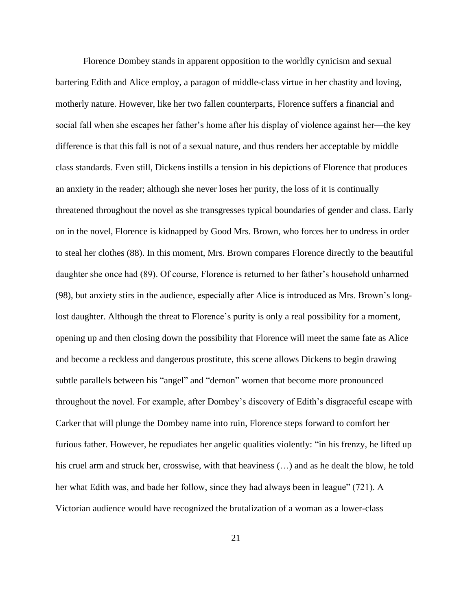Florence Dombey stands in apparent opposition to the worldly cynicism and sexual bartering Edith and Alice employ, a paragon of middle-class virtue in her chastity and loving, motherly nature. However, like her two fallen counterparts, Florence suffers a financial and social fall when she escapes her father's home after his display of violence against her—the key difference is that this fall is not of a sexual nature, and thus renders her acceptable by middle class standards. Even still, Dickens instills a tension in his depictions of Florence that produces an anxiety in the reader; although she never loses her purity, the loss of it is continually threatened throughout the novel as she transgresses typical boundaries of gender and class. Early on in the novel, Florence is kidnapped by Good Mrs. Brown, who forces her to undress in order to steal her clothes (88). In this moment, Mrs. Brown compares Florence directly to the beautiful daughter she once had (89). Of course, Florence is returned to her father's household unharmed (98), but anxiety stirs in the audience, especially after Alice is introduced as Mrs. Brown's longlost daughter. Although the threat to Florence's purity is only a real possibility for a moment, opening up and then closing down the possibility that Florence will meet the same fate as Alice and become a reckless and dangerous prostitute, this scene allows Dickens to begin drawing subtle parallels between his "angel" and "demon" women that become more pronounced throughout the novel. For example, after Dombey's discovery of Edith's disgraceful escape with Carker that will plunge the Dombey name into ruin, Florence steps forward to comfort her furious father. However, he repudiates her angelic qualities violently: "in his frenzy, he lifted up his cruel arm and struck her, crosswise, with that heaviness (…) and as he dealt the blow, he told her what Edith was, and bade her follow, since they had always been in league" (721). A Victorian audience would have recognized the brutalization of a woman as a lower-class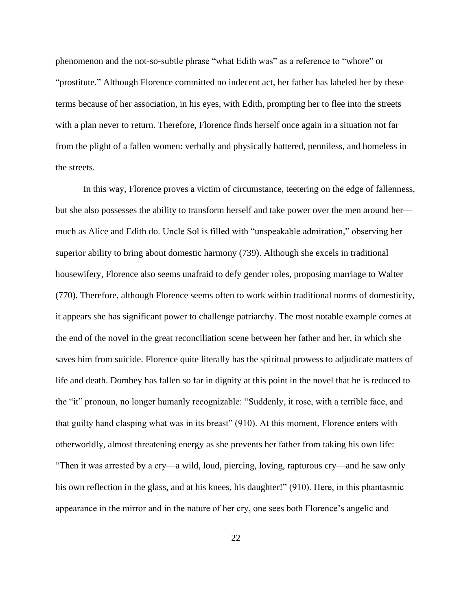phenomenon and the not-so-subtle phrase "what Edith was" as a reference to "whore" or "prostitute." Although Florence committed no indecent act, her father has labeled her by these terms because of her association, in his eyes, with Edith, prompting her to flee into the streets with a plan never to return. Therefore, Florence finds herself once again in a situation not far from the plight of a fallen women: verbally and physically battered, penniless, and homeless in the streets.

In this way, Florence proves a victim of circumstance, teetering on the edge of fallenness, but she also possesses the ability to transform herself and take power over the men around her much as Alice and Edith do. Uncle Sol is filled with "unspeakable admiration," observing her superior ability to bring about domestic harmony (739). Although she excels in traditional housewifery, Florence also seems unafraid to defy gender roles, proposing marriage to Walter (770). Therefore, although Florence seems often to work within traditional norms of domesticity, it appears she has significant power to challenge patriarchy. The most notable example comes at the end of the novel in the great reconciliation scene between her father and her, in which she saves him from suicide. Florence quite literally has the spiritual prowess to adjudicate matters of life and death. Dombey has fallen so far in dignity at this point in the novel that he is reduced to the "it" pronoun, no longer humanly recognizable: "Suddenly, it rose, with a terrible face, and that guilty hand clasping what was in its breast" (910). At this moment, Florence enters with otherworldly, almost threatening energy as she prevents her father from taking his own life: "Then it was arrested by a cry—a wild, loud, piercing, loving, rapturous cry—and he saw only his own reflection in the glass, and at his knees, his daughter!" (910). Here, in this phantasmic appearance in the mirror and in the nature of her cry, one sees both Florence's angelic and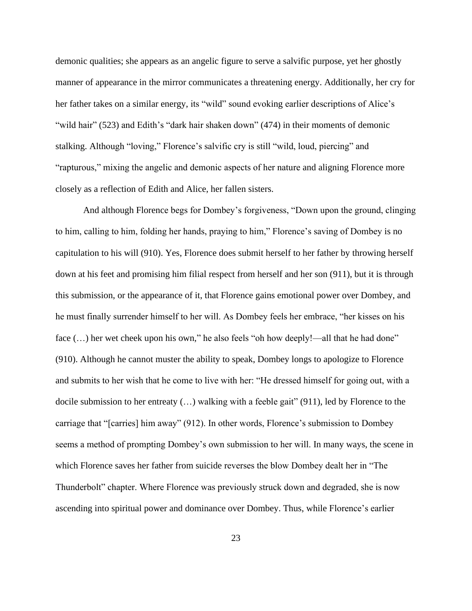demonic qualities; she appears as an angelic figure to serve a salvific purpose, yet her ghostly manner of appearance in the mirror communicates a threatening energy. Additionally, her cry for her father takes on a similar energy, its "wild" sound evoking earlier descriptions of Alice's "wild hair" (523) and Edith's "dark hair shaken down" (474) in their moments of demonic stalking. Although "loving," Florence's salvific cry is still "wild, loud, piercing" and "rapturous," mixing the angelic and demonic aspects of her nature and aligning Florence more closely as a reflection of Edith and Alice, her fallen sisters.

And although Florence begs for Dombey's forgiveness, "Down upon the ground, clinging to him, calling to him, folding her hands, praying to him," Florence's saving of Dombey is no capitulation to his will (910). Yes, Florence does submit herself to her father by throwing herself down at his feet and promising him filial respect from herself and her son (911), but it is through this submission, or the appearance of it, that Florence gains emotional power over Dombey, and he must finally surrender himself to her will. As Dombey feels her embrace, "her kisses on his face  $(...)$  her wet cheek upon his own," he also feels "oh how deeply!—all that he had done" (910). Although he cannot muster the ability to speak, Dombey longs to apologize to Florence and submits to her wish that he come to live with her: "He dressed himself for going out, with a docile submission to her entreaty (…) walking with a feeble gait" (911), led by Florence to the carriage that "[carries] him away" (912). In other words, Florence's submission to Dombey seems a method of prompting Dombey's own submission to her will. In many ways, the scene in which Florence saves her father from suicide reverses the blow Dombey dealt her in "The Thunderbolt" chapter. Where Florence was previously struck down and degraded, she is now ascending into spiritual power and dominance over Dombey. Thus, while Florence's earlier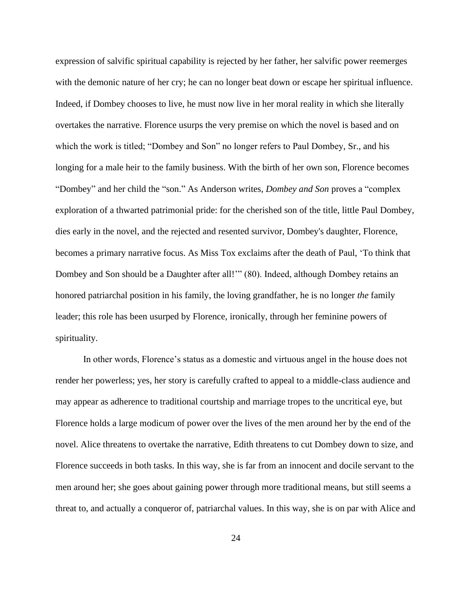expression of salvific spiritual capability is rejected by her father, her salvific power reemerges with the demonic nature of her cry; he can no longer beat down or escape her spiritual influence. Indeed, if Dombey chooses to live, he must now live in her moral reality in which she literally overtakes the narrative. Florence usurps the very premise on which the novel is based and on which the work is titled; "Dombey and Son" no longer refers to Paul Dombey, Sr., and his longing for a male heir to the family business. With the birth of her own son, Florence becomes "Dombey" and her child the "son." As Anderson writes, *Dombey and Son* proves a "complex exploration of a thwarted patrimonial pride: for the cherished son of the title, little Paul Dombey, dies early in the novel, and the rejected and resented survivor, Dombey's daughter, Florence, becomes a primary narrative focus. As Miss Tox exclaims after the death of Paul, 'To think that Dombey and Son should be a Daughter after all!" (80). Indeed, although Dombey retains an honored patriarchal position in his family, the loving grandfather, he is no longer *the* family leader; this role has been usurped by Florence, ironically, through her feminine powers of spirituality.

In other words, Florence's status as a domestic and virtuous angel in the house does not render her powerless; yes, her story is carefully crafted to appeal to a middle-class audience and may appear as adherence to traditional courtship and marriage tropes to the uncritical eye, but Florence holds a large modicum of power over the lives of the men around her by the end of the novel. Alice threatens to overtake the narrative, Edith threatens to cut Dombey down to size, and Florence succeeds in both tasks. In this way, she is far from an innocent and docile servant to the men around her; she goes about gaining power through more traditional means, but still seems a threat to, and actually a conqueror of, patriarchal values. In this way, she is on par with Alice and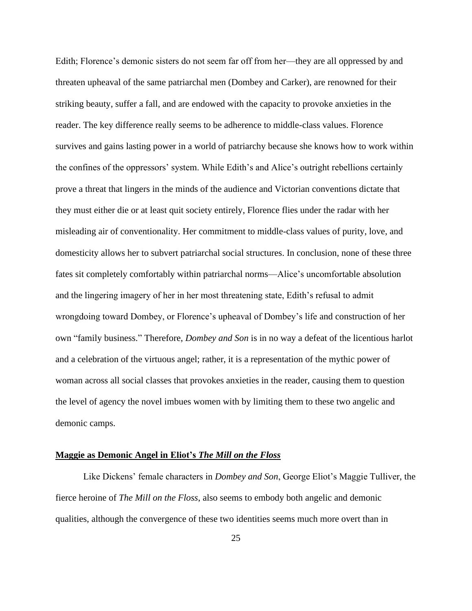Edith; Florence's demonic sisters do not seem far off from her—they are all oppressed by and threaten upheaval of the same patriarchal men (Dombey and Carker), are renowned for their striking beauty, suffer a fall, and are endowed with the capacity to provoke anxieties in the reader. The key difference really seems to be adherence to middle-class values. Florence survives and gains lasting power in a world of patriarchy because she knows how to work within the confines of the oppressors' system. While Edith's and Alice's outright rebellions certainly prove a threat that lingers in the minds of the audience and Victorian conventions dictate that they must either die or at least quit society entirely, Florence flies under the radar with her misleading air of conventionality. Her commitment to middle-class values of purity, love, and domesticity allows her to subvert patriarchal social structures. In conclusion, none of these three fates sit completely comfortably within patriarchal norms—Alice's uncomfortable absolution and the lingering imagery of her in her most threatening state, Edith's refusal to admit wrongdoing toward Dombey, or Florence's upheaval of Dombey's life and construction of her own "family business." Therefore, *Dombey and Son* is in no way a defeat of the licentious harlot and a celebration of the virtuous angel; rather, it is a representation of the mythic power of woman across all social classes that provokes anxieties in the reader, causing them to question the level of agency the novel imbues women with by limiting them to these two angelic and demonic camps.

# **Maggie as Demonic Angel in Eliot's** *The Mill on the Floss*

Like Dickens' female characters in *Dombey and Son*, George Eliot's Maggie Tulliver, the fierce heroine of *The Mill on the Floss*, also seems to embody both angelic and demonic qualities, although the convergence of these two identities seems much more overt than in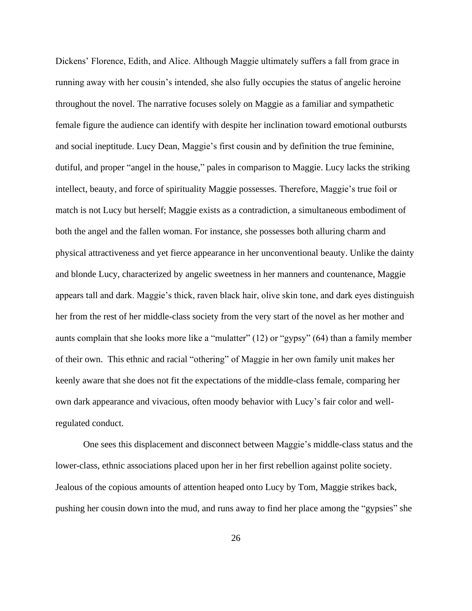Dickens' Florence, Edith, and Alice. Although Maggie ultimately suffers a fall from grace in running away with her cousin's intended, she also fully occupies the status of angelic heroine throughout the novel. The narrative focuses solely on Maggie as a familiar and sympathetic female figure the audience can identify with despite her inclination toward emotional outbursts and social ineptitude. Lucy Dean, Maggie's first cousin and by definition the true feminine, dutiful, and proper "angel in the house," pales in comparison to Maggie. Lucy lacks the striking intellect, beauty, and force of spirituality Maggie possesses. Therefore, Maggie's true foil or match is not Lucy but herself; Maggie exists as a contradiction, a simultaneous embodiment of both the angel and the fallen woman. For instance, she possesses both alluring charm and physical attractiveness and yet fierce appearance in her unconventional beauty. Unlike the dainty and blonde Lucy, characterized by angelic sweetness in her manners and countenance, Maggie appears tall and dark. Maggie's thick, raven black hair, olive skin tone, and dark eyes distinguish her from the rest of her middle-class society from the very start of the novel as her mother and aunts complain that she looks more like a "mulatter" (12) or "gypsy" (64) than a family member of their own. This ethnic and racial "othering" of Maggie in her own family unit makes her keenly aware that she does not fit the expectations of the middle-class female, comparing her own dark appearance and vivacious, often moody behavior with Lucy's fair color and wellregulated conduct.

One sees this displacement and disconnect between Maggie's middle-class status and the lower-class, ethnic associations placed upon her in her first rebellion against polite society. Jealous of the copious amounts of attention heaped onto Lucy by Tom, Maggie strikes back, pushing her cousin down into the mud, and runs away to find her place among the "gypsies" she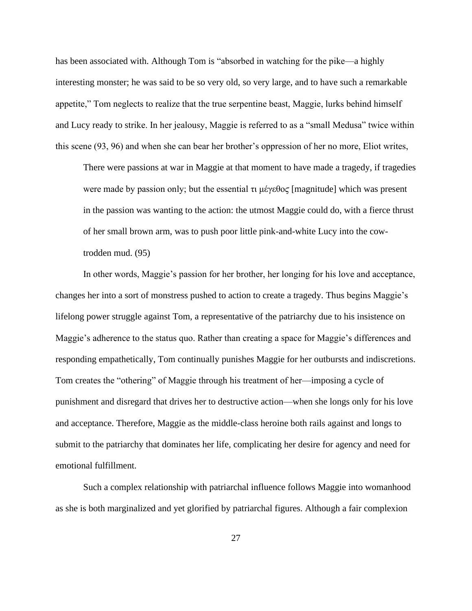has been associated with. Although Tom is "absorbed in watching for the pike—a highly interesting monster; he was said to be so very old, so very large, and to have such a remarkable appetite," Tom neglects to realize that the true serpentine beast, Maggie, lurks behind himself and Lucy ready to strike. In her jealousy, Maggie is referred to as a "small Medusa" twice within this scene (93, 96) and when she can bear her brother's oppression of her no more, Eliot writes,

There were passions at war in Maggie at that moment to have made a tragedy, if tragedies were made by passion only; but the essential  $\tau \mu \not\in \Theta$  [magnitude] which was present in the passion was wanting to the action: the utmost Maggie could do, with a fierce thrust of her small brown arm, was to push poor little pink-and-white Lucy into the cowtrodden mud. (95)

In other words, Maggie's passion for her brother, her longing for his love and acceptance, changes her into a sort of monstress pushed to action to create a tragedy. Thus begins Maggie's lifelong power struggle against Tom, a representative of the patriarchy due to his insistence on Maggie's adherence to the status quo. Rather than creating a space for Maggie's differences and responding empathetically, Tom continually punishes Maggie for her outbursts and indiscretions. Tom creates the "othering" of Maggie through his treatment of her—imposing a cycle of punishment and disregard that drives her to destructive action—when she longs only for his love and acceptance. Therefore, Maggie as the middle-class heroine both rails against and longs to submit to the patriarchy that dominates her life, complicating her desire for agency and need for emotional fulfillment.

Such a complex relationship with patriarchal influence follows Maggie into womanhood as she is both marginalized and yet glorified by patriarchal figures. Although a fair complexion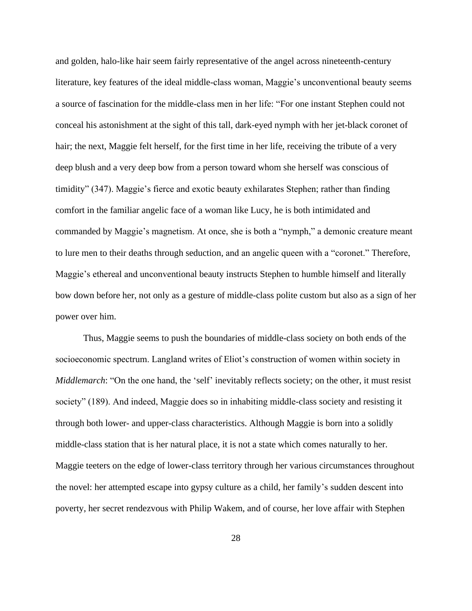and golden, halo-like hair seem fairly representative of the angel across nineteenth-century literature, key features of the ideal middle-class woman, Maggie's unconventional beauty seems a source of fascination for the middle-class men in her life: "For one instant Stephen could not conceal his astonishment at the sight of this tall, dark-eyed nymph with her jet-black coronet of hair; the next, Maggie felt herself, for the first time in her life, receiving the tribute of a very deep blush and a very deep bow from a person toward whom she herself was conscious of timidity" (347). Maggie's fierce and exotic beauty exhilarates Stephen; rather than finding comfort in the familiar angelic face of a woman like Lucy, he is both intimidated and commanded by Maggie's magnetism. At once, she is both a "nymph," a demonic creature meant to lure men to their deaths through seduction, and an angelic queen with a "coronet." Therefore, Maggie's ethereal and unconventional beauty instructs Stephen to humble himself and literally bow down before her, not only as a gesture of middle-class polite custom but also as a sign of her power over him.

Thus, Maggie seems to push the boundaries of middle-class society on both ends of the socioeconomic spectrum. Langland writes of Eliot's construction of women within society in *Middlemarch*: "On the one hand, the 'self' inevitably reflects society; on the other, it must resist society" (189). And indeed, Maggie does so in inhabiting middle-class society and resisting it through both lower- and upper-class characteristics. Although Maggie is born into a solidly middle-class station that is her natural place, it is not a state which comes naturally to her. Maggie teeters on the edge of lower-class territory through her various circumstances throughout the novel: her attempted escape into gypsy culture as a child, her family's sudden descent into poverty, her secret rendezvous with Philip Wakem, and of course, her love affair with Stephen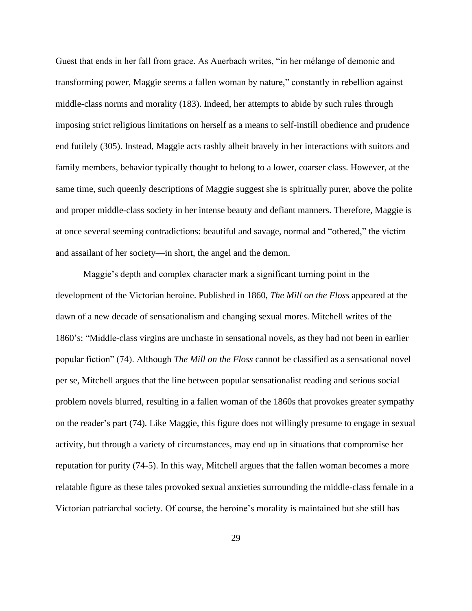Guest that ends in her fall from grace. As Auerbach writes, "in her mélange of demonic and transforming power, Maggie seems a fallen woman by nature," constantly in rebellion against middle-class norms and morality (183). Indeed, her attempts to abide by such rules through imposing strict religious limitations on herself as a means to self-instill obedience and prudence end futilely (305). Instead, Maggie acts rashly albeit bravely in her interactions with suitors and family members, behavior typically thought to belong to a lower, coarser class. However, at the same time, such queenly descriptions of Maggie suggest she is spiritually purer, above the polite and proper middle-class society in her intense beauty and defiant manners. Therefore, Maggie is at once several seeming contradictions: beautiful and savage, normal and "othered," the victim and assailant of her society—in short, the angel and the demon.

Maggie's depth and complex character mark a significant turning point in the development of the Victorian heroine. Published in 1860, *The Mill on the Floss* appeared at the dawn of a new decade of sensationalism and changing sexual mores. Mitchell writes of the 1860's: "Middle-class virgins are unchaste in sensational novels, as they had not been in earlier popular fiction" (74). Although *The Mill on the Floss* cannot be classified as a sensational novel per se, Mitchell argues that the line between popular sensationalist reading and serious social problem novels blurred, resulting in a fallen woman of the 1860s that provokes greater sympathy on the reader's part (74). Like Maggie, this figure does not willingly presume to engage in sexual activity, but through a variety of circumstances, may end up in situations that compromise her reputation for purity (74-5). In this way, Mitchell argues that the fallen woman becomes a more relatable figure as these tales provoked sexual anxieties surrounding the middle-class female in a Victorian patriarchal society. Of course, the heroine's morality is maintained but she still has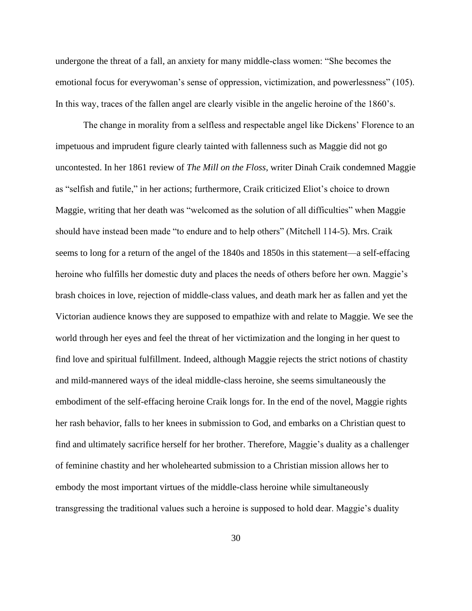undergone the threat of a fall, an anxiety for many middle-class women: "She becomes the emotional focus for everywoman's sense of oppression, victimization, and powerlessness" (105). In this way, traces of the fallen angel are clearly visible in the angelic heroine of the 1860's.

The change in morality from a selfless and respectable angel like Dickens' Florence to an impetuous and imprudent figure clearly tainted with fallenness such as Maggie did not go uncontested. In her 1861 review of *The Mill on the Floss*, writer Dinah Craik condemned Maggie as "selfish and futile," in her actions; furthermore, Craik criticized Eliot's choice to drown Maggie, writing that her death was "welcomed as the solution of all difficulties" when Maggie should have instead been made "to endure and to help others" (Mitchell 114-5). Mrs. Craik seems to long for a return of the angel of the 1840s and 1850s in this statement—a self-effacing heroine who fulfills her domestic duty and places the needs of others before her own. Maggie's brash choices in love, rejection of middle-class values, and death mark her as fallen and yet the Victorian audience knows they are supposed to empathize with and relate to Maggie. We see the world through her eyes and feel the threat of her victimization and the longing in her quest to find love and spiritual fulfillment. Indeed, although Maggie rejects the strict notions of chastity and mild-mannered ways of the ideal middle-class heroine, she seems simultaneously the embodiment of the self-effacing heroine Craik longs for. In the end of the novel, Maggie rights her rash behavior, falls to her knees in submission to God, and embarks on a Christian quest to find and ultimately sacrifice herself for her brother. Therefore, Maggie's duality as a challenger of feminine chastity and her wholehearted submission to a Christian mission allows her to embody the most important virtues of the middle-class heroine while simultaneously transgressing the traditional values such a heroine is supposed to hold dear. Maggie's duality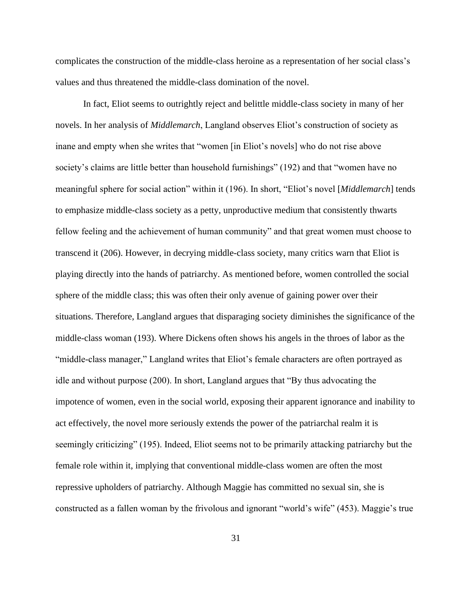complicates the construction of the middle-class heroine as a representation of her social class's values and thus threatened the middle-class domination of the novel.

In fact, Eliot seems to outrightly reject and belittle middle-class society in many of her novels. In her analysis of *Middlemarch*, Langland observes Eliot's construction of society as inane and empty when she writes that "women [in Eliot's novels] who do not rise above society's claims are little better than household furnishings" (192) and that "women have no meaningful sphere for social action" within it (196). In short, "Eliot's novel [*Middlemarch*] tends to emphasize middle-class society as a petty, unproductive medium that consistently thwarts fellow feeling and the achievement of human community" and that great women must choose to transcend it (206). However, in decrying middle-class society, many critics warn that Eliot is playing directly into the hands of patriarchy. As mentioned before, women controlled the social sphere of the middle class; this was often their only avenue of gaining power over their situations. Therefore, Langland argues that disparaging society diminishes the significance of the middle-class woman (193). Where Dickens often shows his angels in the throes of labor as the "middle-class manager," Langland writes that Eliot's female characters are often portrayed as idle and without purpose (200). In short, Langland argues that "By thus advocating the impotence of women, even in the social world, exposing their apparent ignorance and inability to act effectively, the novel more seriously extends the power of the patriarchal realm it is seemingly criticizing" (195). Indeed, Eliot seems not to be primarily attacking patriarchy but the female role within it, implying that conventional middle-class women are often the most repressive upholders of patriarchy. Although Maggie has committed no sexual sin, she is constructed as a fallen woman by the frivolous and ignorant "world's wife" (453). Maggie's true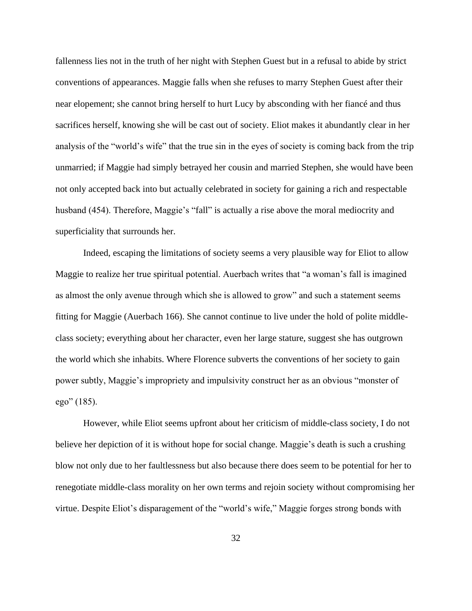fallenness lies not in the truth of her night with Stephen Guest but in a refusal to abide by strict conventions of appearances. Maggie falls when she refuses to marry Stephen Guest after their near elopement; she cannot bring herself to hurt Lucy by absconding with her fiancé and thus sacrifices herself, knowing she will be cast out of society. Eliot makes it abundantly clear in her analysis of the "world's wife" that the true sin in the eyes of society is coming back from the trip unmarried; if Maggie had simply betrayed her cousin and married Stephen, she would have been not only accepted back into but actually celebrated in society for gaining a rich and respectable husband (454). Therefore, Maggie's "fall" is actually a rise above the moral mediocrity and superficiality that surrounds her.

Indeed, escaping the limitations of society seems a very plausible way for Eliot to allow Maggie to realize her true spiritual potential. Auerbach writes that "a woman's fall is imagined as almost the only avenue through which she is allowed to grow" and such a statement seems fitting for Maggie (Auerbach 166). She cannot continue to live under the hold of polite middleclass society; everything about her character, even her large stature, suggest she has outgrown the world which she inhabits. Where Florence subverts the conventions of her society to gain power subtly, Maggie's impropriety and impulsivity construct her as an obvious "monster of ego" (185).

However, while Eliot seems upfront about her criticism of middle-class society, I do not believe her depiction of it is without hope for social change. Maggie's death is such a crushing blow not only due to her faultlessness but also because there does seem to be potential for her to renegotiate middle-class morality on her own terms and rejoin society without compromising her virtue. Despite Eliot's disparagement of the "world's wife," Maggie forges strong bonds with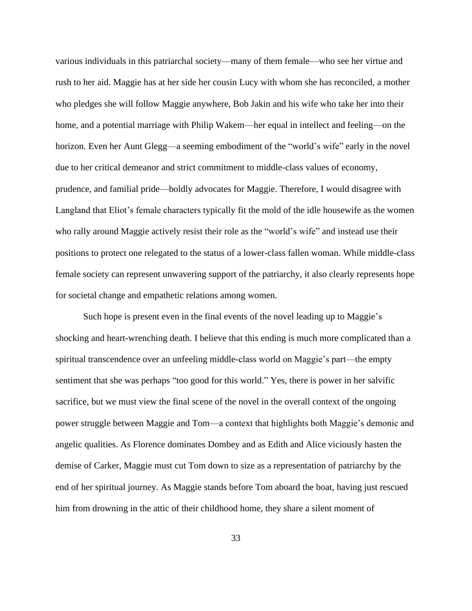various individuals in this patriarchal society—many of them female—who see her virtue and rush to her aid. Maggie has at her side her cousin Lucy with whom she has reconciled, a mother who pledges she will follow Maggie anywhere, Bob Jakin and his wife who take her into their home, and a potential marriage with Philip Wakem—her equal in intellect and feeling—on the horizon. Even her Aunt Glegg—a seeming embodiment of the "world's wife" early in the novel due to her critical demeanor and strict commitment to middle-class values of economy, prudence, and familial pride—boldly advocates for Maggie. Therefore, I would disagree with Langland that Eliot's female characters typically fit the mold of the idle housewife as the women who rally around Maggie actively resist their role as the "world's wife" and instead use their positions to protect one relegated to the status of a lower-class fallen woman. While middle-class female society can represent unwavering support of the patriarchy, it also clearly represents hope for societal change and empathetic relations among women.

Such hope is present even in the final events of the novel leading up to Maggie's shocking and heart-wrenching death. I believe that this ending is much more complicated than a spiritual transcendence over an unfeeling middle-class world on Maggie's part—the empty sentiment that she was perhaps "too good for this world." Yes, there is power in her salvific sacrifice, but we must view the final scene of the novel in the overall context of the ongoing power struggle between Maggie and Tom—a context that highlights both Maggie's demonic and angelic qualities. As Florence dominates Dombey and as Edith and Alice viciously hasten the demise of Carker, Maggie must cut Tom down to size as a representation of patriarchy by the end of her spiritual journey. As Maggie stands before Tom aboard the boat, having just rescued him from drowning in the attic of their childhood home, they share a silent moment of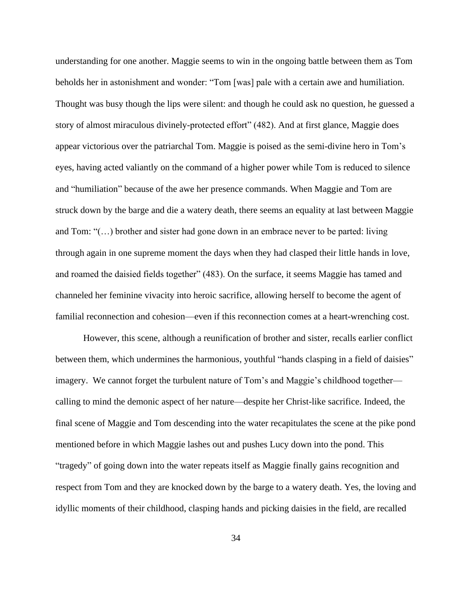understanding for one another. Maggie seems to win in the ongoing battle between them as Tom beholds her in astonishment and wonder: "Tom [was] pale with a certain awe and humiliation. Thought was busy though the lips were silent: and though he could ask no question, he guessed a story of almost miraculous divinely-protected effort" (482). And at first glance, Maggie does appear victorious over the patriarchal Tom. Maggie is poised as the semi-divine hero in Tom's eyes, having acted valiantly on the command of a higher power while Tom is reduced to silence and "humiliation" because of the awe her presence commands. When Maggie and Tom are struck down by the barge and die a watery death, there seems an equality at last between Maggie and Tom: "(…) brother and sister had gone down in an embrace never to be parted: living through again in one supreme moment the days when they had clasped their little hands in love, and roamed the daisied fields together" (483). On the surface, it seems Maggie has tamed and channeled her feminine vivacity into heroic sacrifice, allowing herself to become the agent of familial reconnection and cohesion—even if this reconnection comes at a heart-wrenching cost.

However, this scene, although a reunification of brother and sister, recalls earlier conflict between them, which undermines the harmonious, youthful "hands clasping in a field of daisies" imagery. We cannot forget the turbulent nature of Tom's and Maggie's childhood together calling to mind the demonic aspect of her nature—despite her Christ-like sacrifice. Indeed, the final scene of Maggie and Tom descending into the water recapitulates the scene at the pike pond mentioned before in which Maggie lashes out and pushes Lucy down into the pond. This "tragedy" of going down into the water repeats itself as Maggie finally gains recognition and respect from Tom and they are knocked down by the barge to a watery death. Yes, the loving and idyllic moments of their childhood, clasping hands and picking daisies in the field, are recalled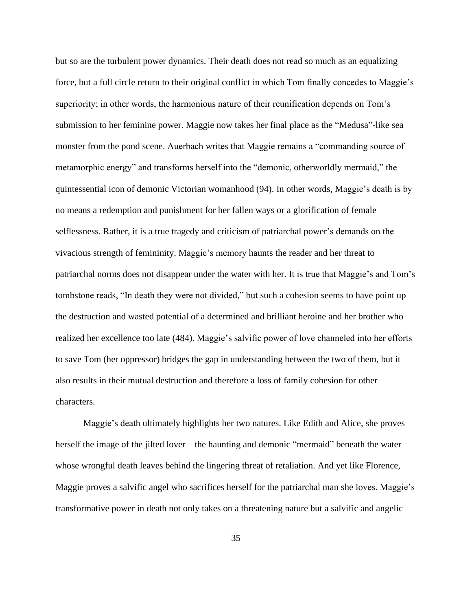but so are the turbulent power dynamics. Their death does not read so much as an equalizing force, but a full circle return to their original conflict in which Tom finally concedes to Maggie's superiority; in other words, the harmonious nature of their reunification depends on Tom's submission to her feminine power. Maggie now takes her final place as the "Medusa"-like sea monster from the pond scene. Auerbach writes that Maggie remains a "commanding source of metamorphic energy" and transforms herself into the "demonic, otherworldly mermaid," the quintessential icon of demonic Victorian womanhood (94). In other words, Maggie's death is by no means a redemption and punishment for her fallen ways or a glorification of female selflessness. Rather, it is a true tragedy and criticism of patriarchal power's demands on the vivacious strength of femininity. Maggie's memory haunts the reader and her threat to patriarchal norms does not disappear under the water with her. It is true that Maggie's and Tom's tombstone reads, "In death they were not divided," but such a cohesion seems to have point up the destruction and wasted potential of a determined and brilliant heroine and her brother who realized her excellence too late (484). Maggie's salvific power of love channeled into her efforts to save Tom (her oppressor) bridges the gap in understanding between the two of them, but it also results in their mutual destruction and therefore a loss of family cohesion for other characters.

Maggie's death ultimately highlights her two natures. Like Edith and Alice, she proves herself the image of the jilted lover—the haunting and demonic "mermaid" beneath the water whose wrongful death leaves behind the lingering threat of retaliation. And yet like Florence, Maggie proves a salvific angel who sacrifices herself for the patriarchal man she loves. Maggie's transformative power in death not only takes on a threatening nature but a salvific and angelic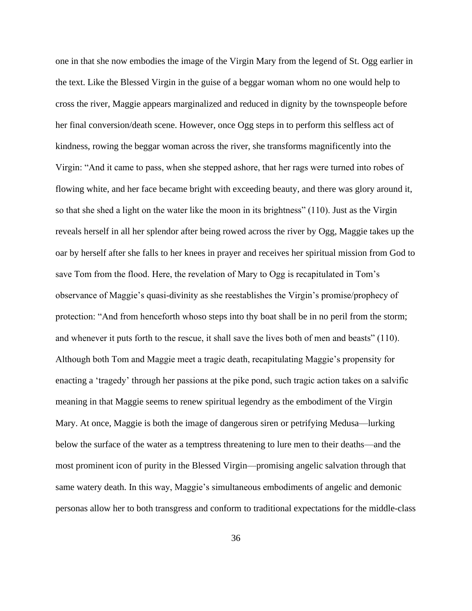one in that she now embodies the image of the Virgin Mary from the legend of St. Ogg earlier in the text. Like the Blessed Virgin in the guise of a beggar woman whom no one would help to cross the river, Maggie appears marginalized and reduced in dignity by the townspeople before her final conversion/death scene. However, once Ogg steps in to perform this selfless act of kindness, rowing the beggar woman across the river, she transforms magnificently into the Virgin: "And it came to pass, when she stepped ashore, that her rags were turned into robes of flowing white, and her face became bright with exceeding beauty, and there was glory around it, so that she shed a light on the water like the moon in its brightness" (110). Just as the Virgin reveals herself in all her splendor after being rowed across the river by Ogg, Maggie takes up the oar by herself after she falls to her knees in prayer and receives her spiritual mission from God to save Tom from the flood. Here, the revelation of Mary to Ogg is recapitulated in Tom's observance of Maggie's quasi-divinity as she reestablishes the Virgin's promise/prophecy of protection: "And from henceforth whoso steps into thy boat shall be in no peril from the storm; and whenever it puts forth to the rescue, it shall save the lives both of men and beasts" (110). Although both Tom and Maggie meet a tragic death, recapitulating Maggie's propensity for enacting a 'tragedy' through her passions at the pike pond, such tragic action takes on a salvific meaning in that Maggie seems to renew spiritual legendry as the embodiment of the Virgin Mary. At once, Maggie is both the image of dangerous siren or petrifying Medusa—lurking below the surface of the water as a temptress threatening to lure men to their deaths—and the most prominent icon of purity in the Blessed Virgin—promising angelic salvation through that same watery death. In this way, Maggie's simultaneous embodiments of angelic and demonic personas allow her to both transgress and conform to traditional expectations for the middle-class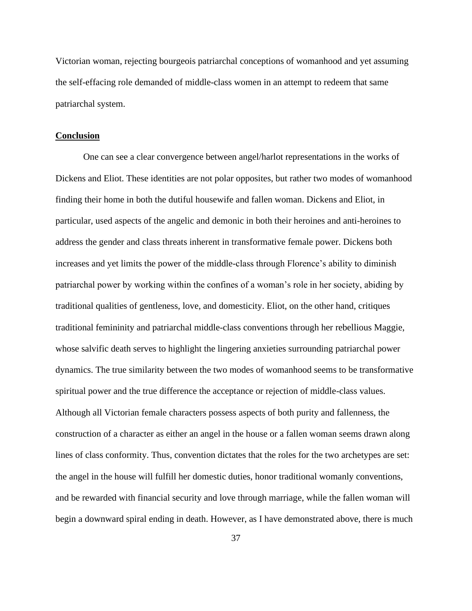Victorian woman, rejecting bourgeois patriarchal conceptions of womanhood and yet assuming the self-effacing role demanded of middle-class women in an attempt to redeem that same patriarchal system.

# **Conclusion**

One can see a clear convergence between angel/harlot representations in the works of Dickens and Eliot. These identities are not polar opposites, but rather two modes of womanhood finding their home in both the dutiful housewife and fallen woman. Dickens and Eliot, in particular, used aspects of the angelic and demonic in both their heroines and anti-heroines to address the gender and class threats inherent in transformative female power. Dickens both increases and yet limits the power of the middle-class through Florence's ability to diminish patriarchal power by working within the confines of a woman's role in her society, abiding by traditional qualities of gentleness, love, and domesticity. Eliot, on the other hand, critiques traditional femininity and patriarchal middle-class conventions through her rebellious Maggie, whose salvific death serves to highlight the lingering anxieties surrounding patriarchal power dynamics. The true similarity between the two modes of womanhood seems to be transformative spiritual power and the true difference the acceptance or rejection of middle-class values. Although all Victorian female characters possess aspects of both purity and fallenness, the construction of a character as either an angel in the house or a fallen woman seems drawn along lines of class conformity. Thus, convention dictates that the roles for the two archetypes are set: the angel in the house will fulfill her domestic duties, honor traditional womanly conventions, and be rewarded with financial security and love through marriage, while the fallen woman will begin a downward spiral ending in death. However, as I have demonstrated above, there is much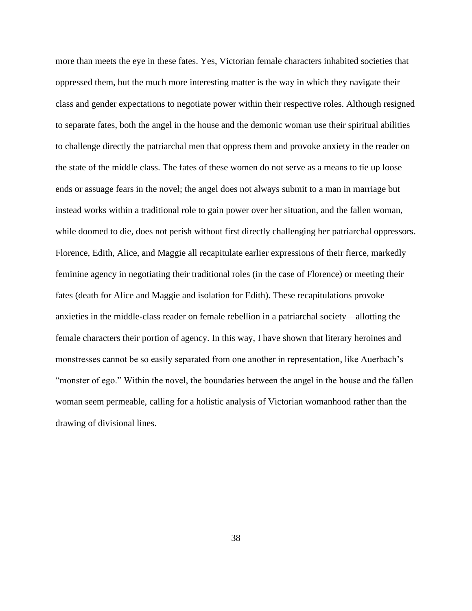more than meets the eye in these fates. Yes, Victorian female characters inhabited societies that oppressed them, but the much more interesting matter is the way in which they navigate their class and gender expectations to negotiate power within their respective roles. Although resigned to separate fates, both the angel in the house and the demonic woman use their spiritual abilities to challenge directly the patriarchal men that oppress them and provoke anxiety in the reader on the state of the middle class. The fates of these women do not serve as a means to tie up loose ends or assuage fears in the novel; the angel does not always submit to a man in marriage but instead works within a traditional role to gain power over her situation, and the fallen woman, while doomed to die, does not perish without first directly challenging her patriarchal oppressors. Florence, Edith, Alice, and Maggie all recapitulate earlier expressions of their fierce, markedly feminine agency in negotiating their traditional roles (in the case of Florence) or meeting their fates (death for Alice and Maggie and isolation for Edith). These recapitulations provoke anxieties in the middle-class reader on female rebellion in a patriarchal society—allotting the female characters their portion of agency. In this way, I have shown that literary heroines and monstresses cannot be so easily separated from one another in representation, like Auerbach's "monster of ego." Within the novel, the boundaries between the angel in the house and the fallen woman seem permeable, calling for a holistic analysis of Victorian womanhood rather than the drawing of divisional lines.